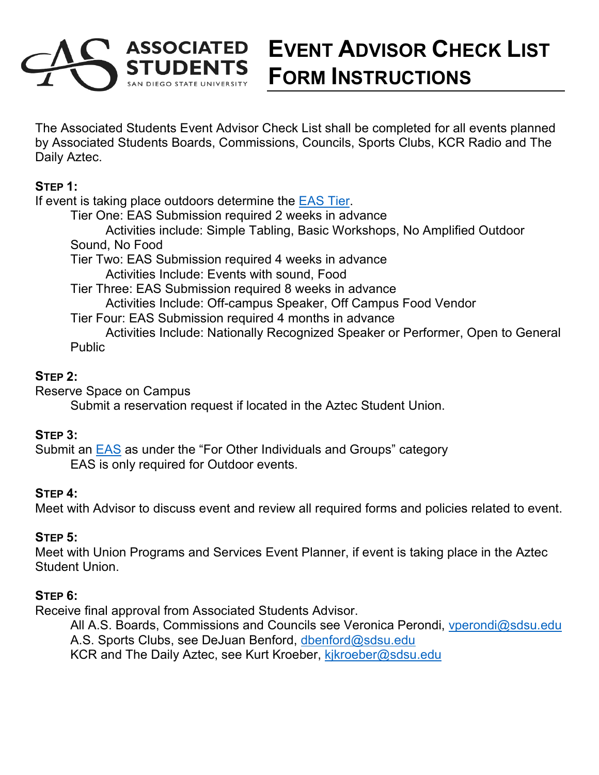

# **EVENT ADVISOR CHECK LIST FORM INSTRUCTIONS**

The Associated Students Event Advisor Check List shall be completed for all events planned by Associated Students Boards, Commissions, Councils, Sports Clubs, KCR Radio and The Daily Aztec.

#### **STEP 1:**

If event is taking place outdoors determine the [EAS Tier.](https://sacd.sdsu.edu/student-life-leadership/student-organizations/info-for-rso/event-planning)

Tier One: EAS Submission required 2 weeks in advance

 Activities include: Simple Tabling, Basic Workshops, No Amplified Outdoor Sound, No Food

Tier Two: EAS Submission required 4 weeks in advance Activities Include: Events with sound, Food

Tier Three: EAS Submission required 8 weeks in advance Activities Include: Off-campus Speaker, Off Campus Food Vendor Tier Four: EAS Submission required 4 months in advance

 Activities Include: Nationally Recognized Speaker or Performer, Open to General Public

### **STEP 2:**

Reserve Space on Campus

Submit a reservation request if located in the Aztec Student Union.

#### **STEP 3:**

Submit an **EAS** as under the "For Other Individuals and Groups" category EAS is only required for Outdoor events.

#### **STEP 4:**

Meet with Advisor to discuss event and review all required forms and policies related to event.

#### **STEP 5:**

Meet with Union Programs and Services Event Planner, if event is taking place in the Aztec Student Union.

#### **STEP 6:**

Receive final approval from Associated Students Advisor.

All A.S. Boards, Commissions and Councils see Veronica Perondi, [vperondi@sdsu.edu](mailto:vperondi@sdsu.edu) A.S. Sports Clubs, see DeJuan Benford, [dbenford@sdsu.edu](mailto:dbenford@sdsu.edu)

KCR and The Daily Aztec, see Kurt Kroeber, [kjkroeber@sdsu.edu](mailto:kjkroeber@sdsu.edu)